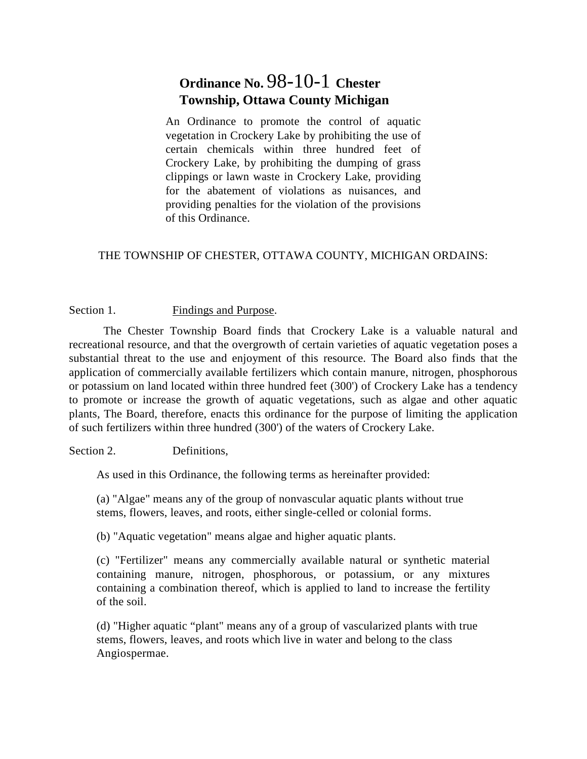# **Ordinance No.** 98-10-1 **Chester Township, Ottawa County Michigan**

An Ordinance to promote the control of aquatic vegetation in Crockery Lake by prohibiting the use of certain chemicals within three hundred feet of Crockery Lake, by prohibiting the dumping of grass clippings or lawn waste in Crockery Lake, providing for the abatement of violations as nuisances, and providing penalties for the violation of the provisions of this Ordinance.

# THE TOWNSHIP OF CHESTER, OTTAWA COUNTY, MICHIGAN ORDAINS:

#### Section 1. Findings and Purpose.

The Chester Township Board finds that Crockery Lake is a valuable natural and recreational resource, and that the overgrowth of certain varieties of aquatic vegetation poses a substantial threat to the use and enjoyment of this resource. The Board also finds that the application of commercially available fertilizers which contain manure, nitrogen, phosphorous or potassium on land located within three hundred feet (300') of Crockery Lake has a tendency to promote or increase the growth of aquatic vegetations, such as algae and other aquatic plants, The Board, therefore, enacts this ordinance for the purpose of limiting the application of such fertilizers within three hundred (300') of the waters of Crockery Lake.

#### Section 2. Definitions.

As used in this Ordinance, the following terms as hereinafter provided:

(a) "Algae" means any of the group of nonvascular aquatic plants without true stems, flowers, leaves, and roots, either single-celled or colonial forms.

(b) "Aquatic vegetation" means algae and higher aquatic plants.

(c) "Fertilizer" means any commercially available natural or synthetic material containing manure, nitrogen, phosphorous, or potassium, or any mixtures containing a combination thereof, which is applied to land to increase the fertility of the soil.

(d) "Higher aquatic "plant" means any of a group of vascularized plants with true stems, flowers, leaves, and roots which live in water and belong to the class Angiospermae.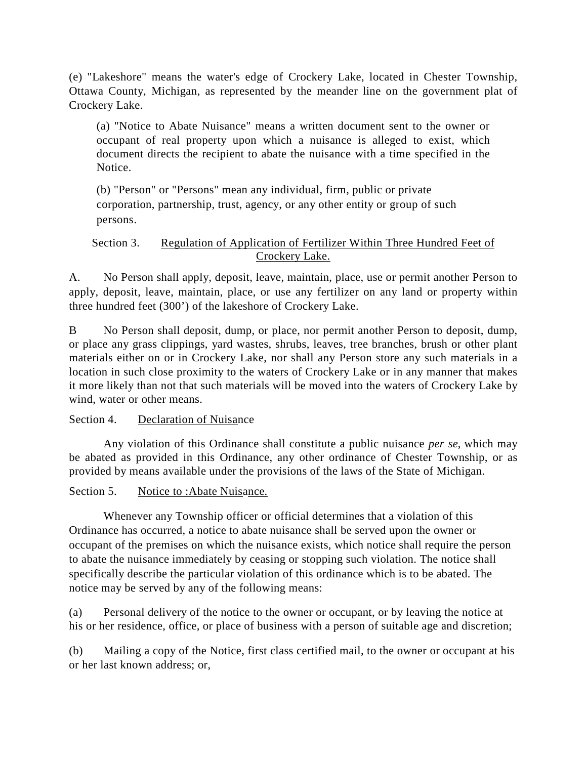(e) "Lakeshore" means the water's edge of Crockery Lake, located in Chester Township, Ottawa County, Michigan, as represented by the meander line on the government plat of Crockery Lake.

(a) "Notice to Abate Nuisance" means a written document sent to the owner or occupant of real property upon which a nuisance is alleged to exist, which document directs the recipient to abate the nuisance with a time specified in the Notice.

(b) "Person" or "Persons" mean any individual, firm, public or private corporation, partnership, trust, agency, or any other entity or group of such persons.

## Section 3. Regulation of Application of Fertilizer Within Three Hundred Feet of Crockery Lake.

A. No Person shall apply, deposit, leave, maintain, place, use or permit another Person to apply, deposit, leave, maintain, place, or use any fertilizer on any land or property within three hundred feet (300') of the lakeshore of Crockery Lake.

B No Person shall deposit, dump, or place, nor permit another Person to deposit, dump, or place any grass clippings, yard wastes, shrubs, leaves, tree branches, brush or other plant materials either on or in Crockery Lake, nor shall any Person store any such materials in a location in such close proximity to the waters of Crockery Lake or in any manner that makes it more likely than not that such materials will be moved into the waters of Crockery Lake by wind, water or other means.

# Section 4. Declaration of Nuisance

Any violation of this Ordinance shall constitute a public nuisance *per se*, which may be abated as provided in this Ordinance, any other ordinance of Chester Township, or as provided by means available under the provisions of the laws of the State of Michigan.

# Section 5. Notice to :Abate Nuisance.

Whenever any Township officer or official determines that a violation of this Ordinance has occurred, a notice to abate nuisance shall be served upon the owner or occupant of the premises on which the nuisance exists, which notice shall require the person to abate the nuisance immediately by ceasing or stopping such violation. The notice shall specifically describe the particular violation of this ordinance which is to be abated. The notice may be served by any of the following means:

(a) Personal delivery of the notice to the owner or occupant, or by leaving the notice at his or her residence, office, or place of business with a person of suitable age and discretion;

(b) Mailing a copy of the Notice, first class certified mail, to the owner or occupant at his or her last known address; or,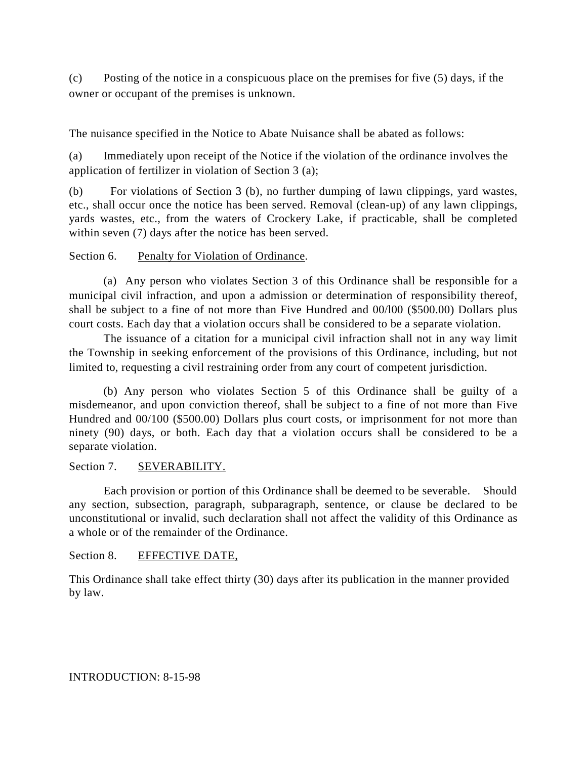(c) Posting of the notice in a conspicuous place on the premises for five (5) days, if the owner or occupant of the premises is unknown.

The nuisance specified in the Notice to Abate Nuisance shall be abated as follows:

(a) Immediately upon receipt of the Notice if the violation of the ordinance involves the application of fertilizer in violation of Section 3 (a);

(b) For violations of Section 3 (b), no further dumping of lawn clippings, yard wastes, etc., shall occur once the notice has been served. Removal (clean-up) of any lawn clippings, yards wastes, etc., from the waters of Crockery Lake, if practicable, shall be completed within seven (7) days after the notice has been served.

#### Section 6. Penalty for Violation of Ordinance.

(a) Any person who violates Section 3 of this Ordinance shall be responsible for a municipal civil infraction, and upon a admission or determination of responsibility thereof, shall be subject to a fine of not more than Five Hundred and 00/l00 (\$500.00) Dollars plus court costs. Each day that a violation occurs shall be considered to be a separate violation.

The issuance of a citation for a municipal civil infraction shall not in any way limit the Township in seeking enforcement of the provisions of this Ordinance, including, but not limited to, requesting a civil restraining order from any court of competent jurisdiction.

(b) Any person who violates Section 5 of this Ordinance shall be guilty of a misdemeanor, and upon conviction thereof, shall be subject to a fine of not more than Five Hundred and 00/100 (\$500.00) Dollars plus court costs, or imprisonment for not more than ninety (90) days, or both. Each day that a violation occurs shall be considered to be a separate violation.

## Section 7. SEVERABILITY.

Each provision or portion of this Ordinance shall be deemed to be severable. Should any section, subsection, paragraph, subparagraph, sentence, or clause be declared to be unconstitutional or invalid, such declaration shall not affect the validity of this Ordinance as a whole or of the remainder of the Ordinance.

#### Section 8. EFFECTIVE DATE,

This Ordinance shall take effect thirty (30) days after its publication in the manner provided by law.

#### INTRODUCTION: 8-15-98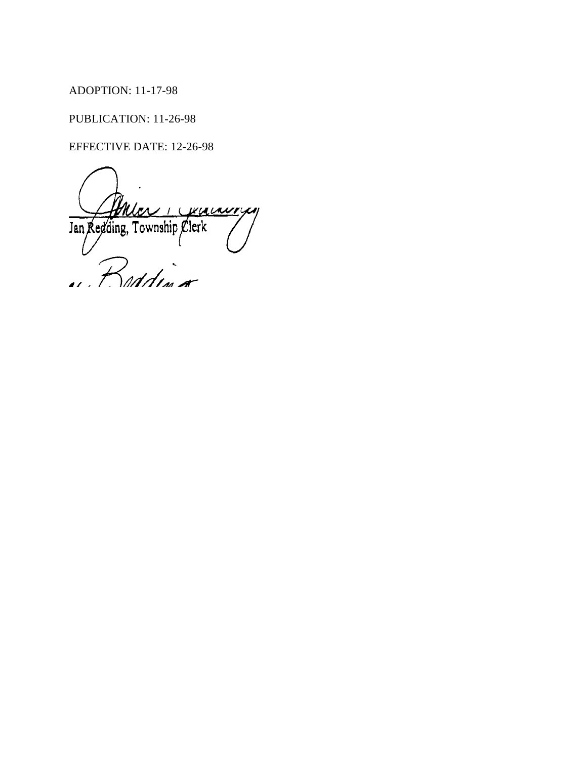# ADOPTION: 11-17-98

PUBLICATION: 11-26-98

EFFECTIVE DATE: 12-26-98

WULANTYN  $\mathcal{L}$  $\overline{1}$ Jan Redding, Township Clerk  $\partial$ <br>and  $\partial$  $\mathcal{L}$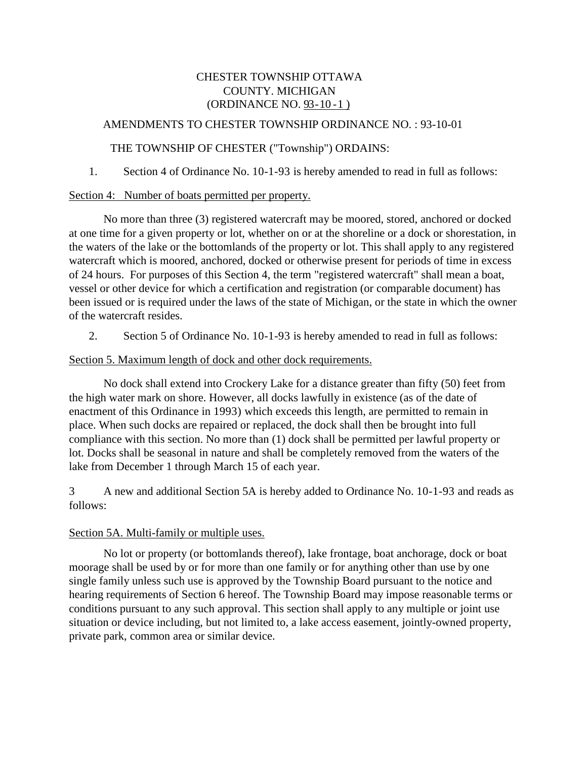# CHESTER TOWNSHIP OTTAWA COUNTY. MICHIGAN (ORDINANCE NO. 93 - 10 - 1 )

## AMENDMENTS TO CHESTER TOWNSHIP ORDINANCE NO. : 93-10-01

## THE TOWNSHIP OF CHESTER ("Township") ORDAINS:

1. Section 4 of Ordinance No. 10-1-93 is hereby amended to read in full as follows:

#### Section 4: Number of boats permitted per property.

No more than three (3) registered watercraft may be moored, stored, anchored or docked at one time for a given property or lot, whether on or at the shoreline or a dock or shorestation, in the waters of the lake or the bottomlands of the property or lot. This shall apply to any registered watercraft which is moored, anchored, docked or otherwise present for periods of time in excess of 24 hours. For purposes of this Section 4, the term "registered watercraft" shall mean a boat, vessel or other device for which a certification and registration (or comparable document) has been issued or is required under the laws of the state of Michigan, or the state in which the owner of the watercraft resides.

2. Section 5 of Ordinance No. 10-1-93 is hereby amended to read in full as follows:

#### Section 5. Maximum length of dock and other dock requirements.

No dock shall extend into Crockery Lake for a distance greater than fifty (50) feet from the high water mark on shore. However, all docks lawfully in existence (as of the date of enactment of this Ordinance in 1993) which exceeds this length, are permitted to remain in place. When such docks are repaired or replaced, the dock shall then be brought into full compliance with this section. No more than (1) dock shall be permitted per lawful property or lot. Docks shall be seasonal in nature and shall be completely removed from the waters of the lake from December 1 through March 15 of each year.

3 A new and additional Section 5A is hereby added to Ordinance No. 10-1-93 and reads as follows:

## Section 5A. Multi-family or multiple uses.

No lot or property (or bottomlands thereof), lake frontage, boat anchorage, dock or boat moorage shall be used by or for more than one family or for anything other than use by one single family unless such use is approved by the Township Board pursuant to the notice and hearing requirements of Section 6 hereof. The Township Board may impose reasonable terms or conditions pursuant to any such approval. This section shall apply to any multiple or joint use situation or device including, but not limited to, a lake access easement, jointly-owned property, private park, common area or similar device.